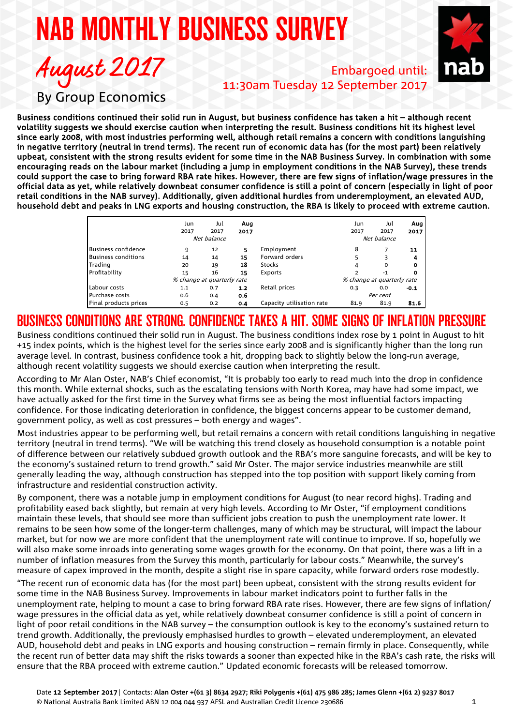# NAB MONTHLY BUSINESS SURVEY



Embargoed until: 11:30am Tuesday 12 September 2017

August 2017 By Group Economics

Business conditions continued their solid run in August, but business confidence has taken a hit – although recent volatility suggests we should exercise caution when interpreting the result. Business conditions hit its highest level since early 2008, with most industries performing well, although retail remains a concern with conditions languishing in negative territory (neutral in trend terms). The recent run of economic data has (for the most part) been relatively upbeat, consistent with the strong results evident for some time in the NAB Business Survey. In combination with some encouraging reads on the labour market (including a jump in employment conditions in the NAB Survey), these trends could support the case to bring forward RBA rate hikes. However, there are few signs of inflation/wage pressures in the official data as yet, while relatively downbeat consumer confidence is still a point of concern (especially in light of poor retail conditions in the NAB survey). Additionally, given additional hurdles from underemployment, an elevated AUD, household debt and peaks in LNG exports and housing construction, the RBA is likely to proceed with extreme caution.

|                            | Jun                        | Jul  | Aug  |                           | Jun                        | Jul  | Aug    |
|----------------------------|----------------------------|------|------|---------------------------|----------------------------|------|--------|
|                            | 2017                       | 2017 | 2017 |                           | 2017                       | 2017 | 2017   |
|                            | Net balance                |      |      |                           | Net balance                |      |        |
| <b>Business confidence</b> | 9                          | 12   | 5    | Employment                | 8                          |      | 11     |
| <b>Business conditions</b> | 14                         | 14   | 15   | Forward orders            | 5                          | 3    | 4      |
| Trading                    | 20                         | 19   | 18   | Stocks                    | 4                          | 0    | ο      |
| Profitability              | 15                         | 16   | 15   | Exports                   |                            | $-1$ | 0      |
|                            | % change at quarterly rate |      |      |                           | % change at quarterly rate |      |        |
| Labour costs               | 1.1                        | 0.7  | 1.2  | Retail prices             | 0.3                        | 0.0  | $-0.1$ |
| Purchase costs             | 0.6                        | 0.4  | 0.6  |                           | Per cent                   |      |        |
| Final products prices      | 0.5                        | 0.2  | 0.4  | Capacity utilisation rate | 81.9                       | 81.9 | 81.6   |

## BUSINESS CONDITIONS ARE STRONG. CONFIDENCE TAKES A HIT. SOME SIGNS OF INFLATION PRESSURE

Business conditions continued their solid run in August. The business conditions index rose by 1 point in August to hit +15 index points, which is the highest level for the series since early 2008 and is significantly higher than the long run average level. In contrast, business confidence took a hit, dropping back to slightly below the long-run average, although recent volatility suggests we should exercise caution when interpreting the result.

According to Mr Alan Oster, NAB's Chief economist, "It is probably too early to read much into the drop in confidence this month. While external shocks, such as the escalating tensions with North Korea, may have had some impact, we have actually asked for the first time in the Survey what firms see as being the most influential factors impacting confidence. For those indicating deterioration in confidence, the biggest concerns appear to be customer demand, government policy, as well as cost pressures – both energy and wages".

Most industries appear to be performing well, but retail remains a concern with retail conditions languishing in negative territory (neutral in trend terms). "We will be watching this trend closely as household consumption is a notable point of difference between our relatively subdued growth outlook and the RBA's more sanguine forecasts, and will be key to the economy's sustained return to trend growth." said Mr Oster. The major service industries meanwhile are still generally leading the way, although construction has stepped into the top position with support likely coming from infrastructure and residential construction activity.

By component, there was a notable jump in employment conditions for August (to near record highs). Trading and profitability eased back slightly, but remain at very high levels. According to Mr Oster, "if employment conditions maintain these levels, that should see more than sufficient jobs creation to push the unemployment rate lower. It remains to be seen how some of the longer-term challenges, many of which may be structural, will impact the labour market, but for now we are more confident that the unemployment rate will continue to improve. If so, hopefully we will also make some inroads into generating some wages growth for the economy. On that point, there was a lift in a number of inflation measures from the Survey this month, particularly for labour costs." Meanwhile, the survey's measure of capex improved in the month, despite a slight rise in spare capacity, while forward orders rose modestly.

"The recent run of economic data has (for the most part) been upbeat, consistent with the strong results evident for some time in the NAB Business Survey. Improvements in labour market indicators point to further falls in the unemployment rate, helping to mount a case to bring forward RBA rate rises. However, there are few signs of inflation/ wage pressures in the official data as yet, while relatively downbeat consumer confidence is still a point of concern in light of poor retail conditions in the NAB survey – the consumption outlook is key to the economy's sustained return to trend growth. Additionally, the previously emphasised hurdles to growth – elevated underemployment, an elevated AUD, household debt and peaks in LNG exports and housing construction – remain firmly in place. Consequently, while the recent run of better data may shift the risks towards a sooner than expected hike in the RBA's cash rate, the risks will ensure that the RBA proceed with extreme caution." Updated economic forecasts will be released tomorrow.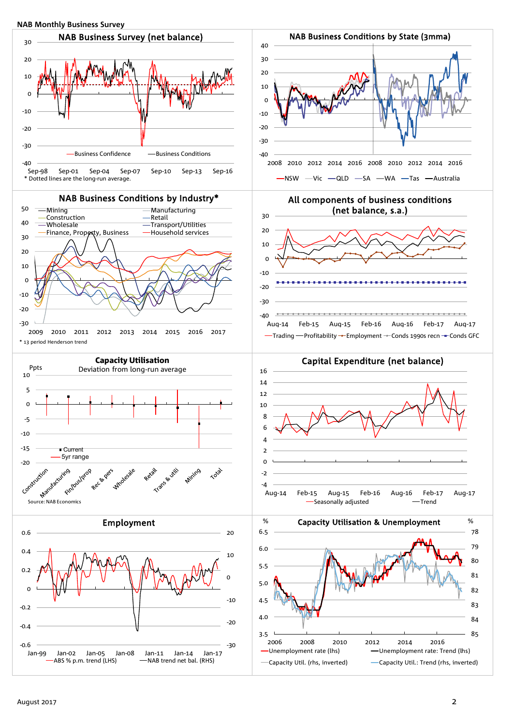